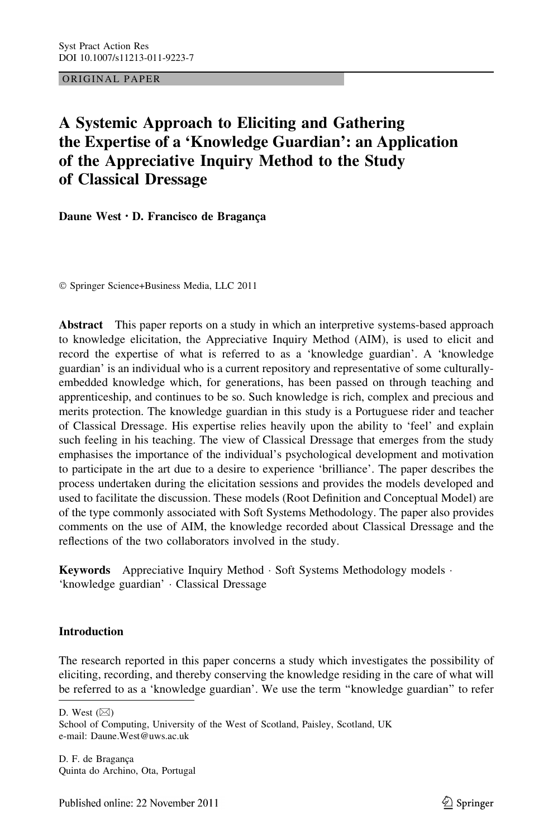#### ORIGINAL PAPER

# A Systemic Approach to Eliciting and Gathering the Expertise of a 'Knowledge Guardian': an Application of the Appreciative Inquiry Method to the Study of Classical Dressage

Daune West · D. Francisco de Bragança

- Springer Science+Business Media, LLC 2011

Abstract This paper reports on a study in which an interpretive systems-based approach to knowledge elicitation, the Appreciative Inquiry Method (AIM), is used to elicit and record the expertise of what is referred to as a 'knowledge guardian'. A 'knowledge guardian' is an individual who is a current repository and representative of some culturallyembedded knowledge which, for generations, has been passed on through teaching and apprenticeship, and continues to be so. Such knowledge is rich, complex and precious and merits protection. The knowledge guardian in this study is a Portuguese rider and teacher of Classical Dressage. His expertise relies heavily upon the ability to 'feel' and explain such feeling in his teaching. The view of Classical Dressage that emerges from the study emphasises the importance of the individual's psychological development and motivation to participate in the art due to a desire to experience 'brilliance'. The paper describes the process undertaken during the elicitation sessions and provides the models developed and used to facilitate the discussion. These models (Root Definition and Conceptual Model) are of the type commonly associated with Soft Systems Methodology. The paper also provides comments on the use of AIM, the knowledge recorded about Classical Dressage and the reflections of the two collaborators involved in the study.

Keywords Appreciative Inquiry Method · Soft Systems Methodology models · 'knowledge guardian' - Classical Dressage

# Introduction

The research reported in this paper concerns a study which investigates the possibility of eliciting, recording, and thereby conserving the knowledge residing in the care of what will be referred to as a 'knowledge guardian'. We use the term ''knowledge guardian'' to refer

D. West  $(\boxtimes)$ 

D. F. de Bragança Quinta do Archino, Ota, Portugal

School of Computing, University of the West of Scotland, Paisley, Scotland, UK e-mail: Daune.West@uws.ac.uk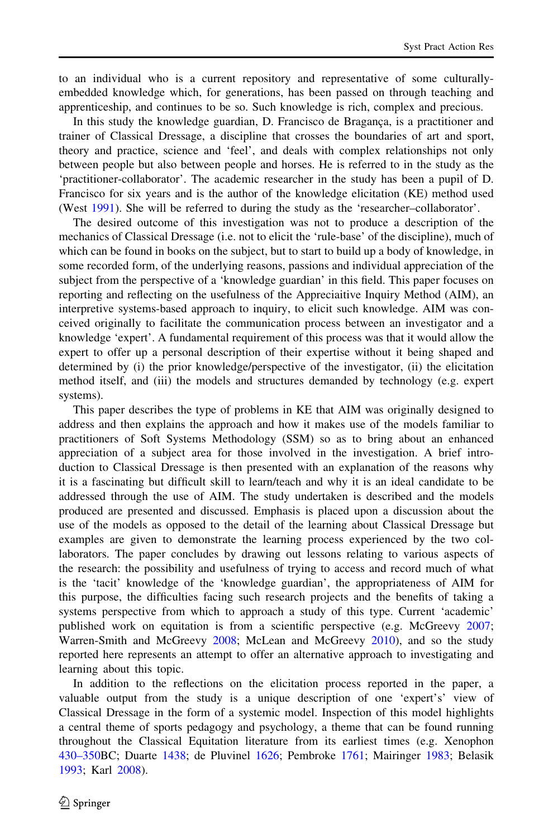to an individual who is a current repository and representative of some culturallyembedded knowledge which, for generations, has been passed on through teaching and apprenticeship, and continues to be so. Such knowledge is rich, complex and precious.

In this study the knowledge guardian, D. Francisco de Braganca, is a practitioner and trainer of Classical Dressage, a discipline that crosses the boundaries of art and sport, theory and practice, science and 'feel', and deals with complex relationships not only between people but also between people and horses. He is referred to in the study as the 'practitioner-collaborator'. The academic researcher in the study has been a pupil of D. Francisco for six years and is the author of the knowledge elicitation (KE) method used (West [1991\)](#page-19-0). She will be referred to during the study as the 'researcher–collaborator'.

The desired outcome of this investigation was not to produce a description of the mechanics of Classical Dressage (i.e. not to elicit the 'rule-base' of the discipline), much of which can be found in books on the subject, but to start to build up a body of knowledge, in some recorded form, of the underlying reasons, passions and individual appreciation of the subject from the perspective of a 'knowledge guardian' in this field. This paper focuses on reporting and reflecting on the usefulness of the Appreciaitive Inquiry Method (AIM), an interpretive systems-based approach to inquiry, to elicit such knowledge. AIM was conceived originally to facilitate the communication process between an investigator and a knowledge 'expert'. A fundamental requirement of this process was that it would allow the expert to offer up a personal description of their expertise without it being shaped and determined by (i) the prior knowledge/perspective of the investigator, (ii) the elicitation method itself, and (iii) the models and structures demanded by technology (e.g. expert systems).

This paper describes the type of problems in KE that AIM was originally designed to address and then explains the approach and how it makes use of the models familiar to practitioners of Soft Systems Methodology (SSM) so as to bring about an enhanced appreciation of a subject area for those involved in the investigation. A brief introduction to Classical Dressage is then presented with an explanation of the reasons why it is a fascinating but difficult skill to learn/teach and why it is an ideal candidate to be addressed through the use of AIM. The study undertaken is described and the models produced are presented and discussed. Emphasis is placed upon a discussion about the use of the models as opposed to the detail of the learning about Classical Dressage but examples are given to demonstrate the learning process experienced by the two collaborators. The paper concludes by drawing out lessons relating to various aspects of the research: the possibility and usefulness of trying to access and record much of what is the 'tacit' knowledge of the 'knowledge guardian', the appropriateness of AIM for this purpose, the difficulties facing such research projects and the benefits of taking a systems perspective from which to approach a study of this type. Current 'academic' published work on equitation is from a scientific perspective (e.g. McGreevy [2007;](#page-19-0) Warren-Smith and McGreevy [2008](#page-19-0); McLean and McGreevy [2010](#page-19-0)), and so the study reported here represents an attempt to offer an alternative approach to investigating and learning about this topic.

In addition to the reflections on the elicitation process reported in the paper, a valuable output from the study is a unique description of one 'expert's' view of Classical Dressage in the form of a systemic model. Inspection of this model highlights a central theme of sports pedagogy and psychology, a theme that can be found running throughout the Classical Equitation literature from its earliest times (e.g. Xenophon [430–350B](#page-19-0)C; Duarte [1438;](#page-18-0) de Pluvinel [1626](#page-18-0); Pembroke [1761;](#page-19-0) Mairinger [1983](#page-19-0); Belasik [1993;](#page-18-0) Karl [2008](#page-18-0)).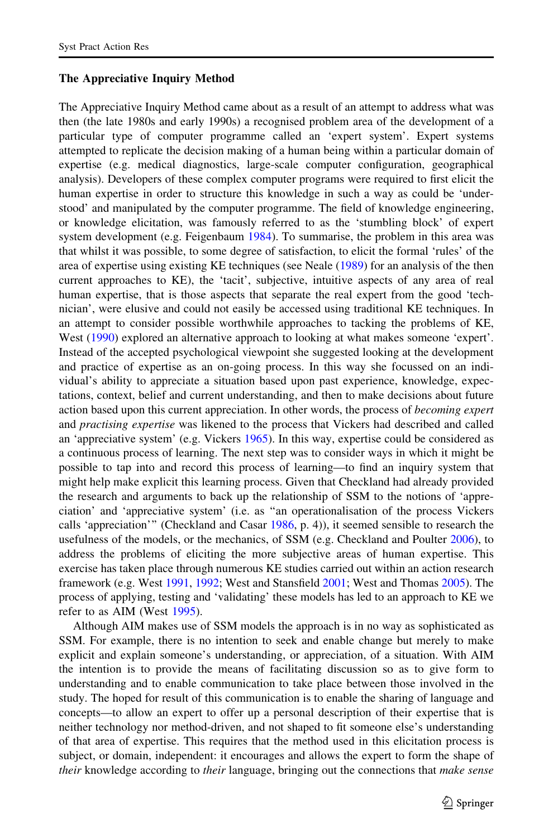## The Appreciative Inquiry Method

The Appreciative Inquiry Method came about as a result of an attempt to address what was then (the late 1980s and early 1990s) a recognised problem area of the development of a particular type of computer programme called an 'expert system'. Expert systems attempted to replicate the decision making of a human being within a particular domain of expertise (e.g. medical diagnostics, large-scale computer configuration, geographical analysis). Developers of these complex computer programs were required to first elicit the human expertise in order to structure this knowledge in such a way as could be 'understood' and manipulated by the computer programme. The field of knowledge engineering, or knowledge elicitation, was famously referred to as the 'stumbling block' of expert system development (e.g. Feigenbaum [1984\)](#page-18-0). To summarise, the problem in this area was that whilst it was possible, to some degree of satisfaction, to elicit the formal 'rules' of the area of expertise using existing KE techniques (see Neale [\(1989](#page-19-0)) for an analysis of the then current approaches to KE), the 'tacit', subjective, intuitive aspects of any area of real human expertise, that is those aspects that separate the real expert from the good 'technician', were elusive and could not easily be accessed using traditional KE techniques. In an attempt to consider possible worthwhile approaches to tacking the problems of KE, West [\(1990\)](#page-19-0) explored an alternative approach to looking at what makes someone 'expert'. Instead of the accepted psychological viewpoint she suggested looking at the development and practice of expertise as an on-going process. In this way she focussed on an individual's ability to appreciate a situation based upon past experience, knowledge, expectations, context, belief and current understanding, and then to make decisions about future action based upon this current appreciation. In other words, the process of *becoming expert* and *practising expertise* was likened to the process that Vickers had described and called an 'appreciative system' (e.g. Vickers [1965](#page-19-0)). In this way, expertise could be considered as a continuous process of learning. The next step was to consider ways in which it might be possible to tap into and record this process of learning—to find an inquiry system that might help make explicit this learning process. Given that Checkland had already provided the research and arguments to back up the relationship of SSM to the notions of 'appreciation' and 'appreciative system' (i.e. as ''an operationalisation of the process Vickers calls 'appreciation''' (Checkland and Casar [1986,](#page-18-0) p. 4)), it seemed sensible to research the usefulness of the models, or the mechanics, of SSM (e.g. Checkland and Poulter [2006\)](#page-18-0), to address the problems of eliciting the more subjective areas of human expertise. This exercise has taken place through numerous KE studies carried out within an action research framework (e.g. West [1991,](#page-19-0) [1992](#page-19-0); West and Stansfield [2001](#page-19-0); West and Thomas [2005\)](#page-19-0). The process of applying, testing and 'validating' these models has led to an approach to KE we refer to as AIM (West [1995\)](#page-19-0).

Although AIM makes use of SSM models the approach is in no way as sophisticated as SSM. For example, there is no intention to seek and enable change but merely to make explicit and explain someone's understanding, or appreciation, of a situation. With AIM the intention is to provide the means of facilitating discussion so as to give form to understanding and to enable communication to take place between those involved in the study. The hoped for result of this communication is to enable the sharing of language and concepts—to allow an expert to offer up a personal description of their expertise that is neither technology nor method-driven, and not shaped to fit someone else's understanding of that area of expertise. This requires that the method used in this elicitation process is subject, or domain, independent: it encourages and allows the expert to form the shape of their knowledge according to their language, bringing out the connections that make sense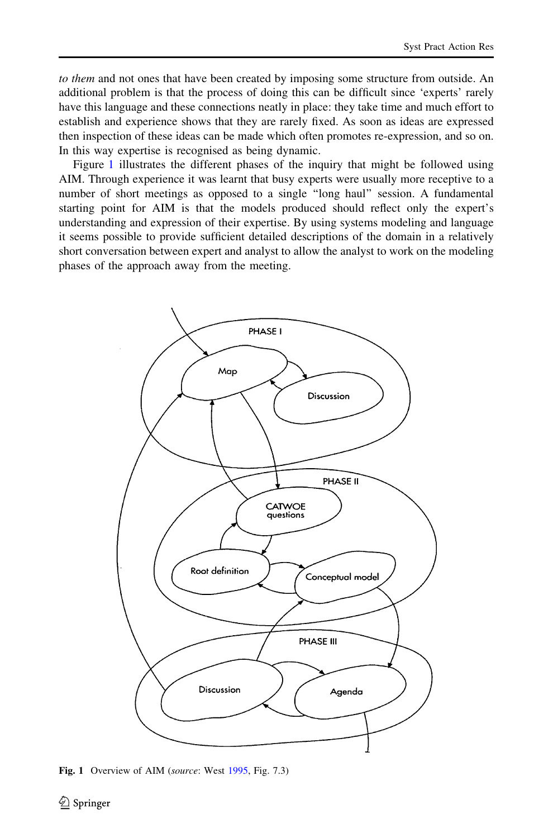to them and not ones that have been created by imposing some structure from outside. An additional problem is that the process of doing this can be difficult since 'experts' rarely have this language and these connections neatly in place: they take time and much effort to establish and experience shows that they are rarely fixed. As soon as ideas are expressed then inspection of these ideas can be made which often promotes re-expression, and so on. In this way expertise is recognised as being dynamic.

Figure 1 illustrates the different phases of the inquiry that might be followed using AIM. Through experience it was learnt that busy experts were usually more receptive to a number of short meetings as opposed to a single ''long haul'' session. A fundamental starting point for AIM is that the models produced should reflect only the expert's understanding and expression of their expertise. By using systems modeling and language it seems possible to provide sufficient detailed descriptions of the domain in a relatively short conversation between expert and analyst to allow the analyst to work on the modeling phases of the approach away from the meeting.



Fig. 1 Overview of AIM (source: West [1995](#page-19-0), Fig. 7.3)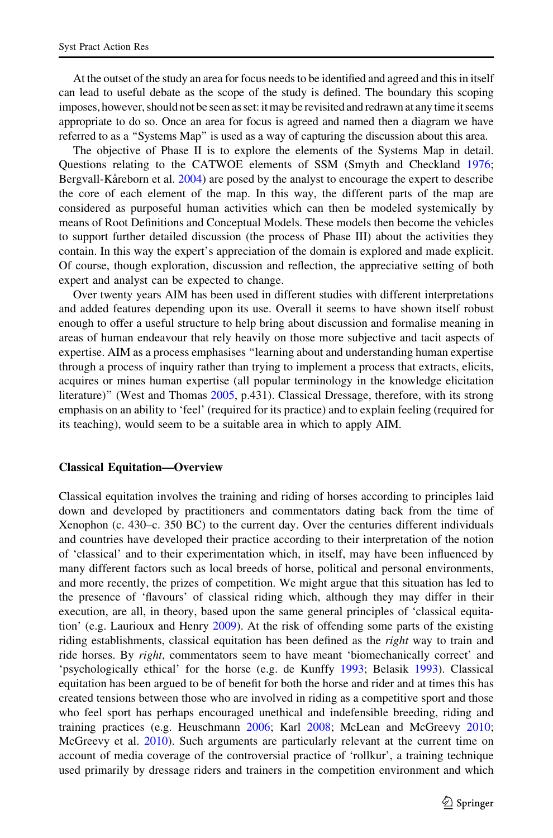At the outset of the study an area for focus needs to be identified and agreed and this in itself can lead to useful debate as the scope of the study is defined. The boundary this scoping imposes, however, should not be seen as set: it may be revisited and redrawn at any time it seems appropriate to do so. Once an area for focus is agreed and named then a diagram we have referred to as a "Systems Map" is used as a way of capturing the discussion about this area.

The objective of Phase II is to explore the elements of the Systems Map in detail. Questions relating to the CATWOE elements of SSM (Smyth and Checkland [1976;](#page-19-0) Bergvall-Kåreborn et al. [2004\)](#page-18-0) are posed by the analyst to encourage the expert to describe the core of each element of the map. In this way, the different parts of the map are considered as purposeful human activities which can then be modeled systemically by means of Root Definitions and Conceptual Models. These models then become the vehicles to support further detailed discussion (the process of Phase III) about the activities they contain. In this way the expert's appreciation of the domain is explored and made explicit. Of course, though exploration, discussion and reflection, the appreciative setting of both expert and analyst can be expected to change.

Over twenty years AIM has been used in different studies with different interpretations and added features depending upon its use. Overall it seems to have shown itself robust enough to offer a useful structure to help bring about discussion and formalise meaning in areas of human endeavour that rely heavily on those more subjective and tacit aspects of expertise. AIM as a process emphasises ''learning about and understanding human expertise through a process of inquiry rather than trying to implement a process that extracts, elicits, acquires or mines human expertise (all popular terminology in the knowledge elicitation literature)'' (West and Thomas [2005](#page-19-0), p.431). Classical Dressage, therefore, with its strong emphasis on an ability to 'feel' (required for its practice) and to explain feeling (required for its teaching), would seem to be a suitable area in which to apply AIM.

#### Classical Equitation—Overview

Classical equitation involves the training and riding of horses according to principles laid down and developed by practitioners and commentators dating back from the time of Xenophon (c. 430–c. 350 BC) to the current day. Over the centuries different individuals and countries have developed their practice according to their interpretation of the notion of 'classical' and to their experimentation which, in itself, may have been influenced by many different factors such as local breeds of horse, political and personal environments, and more recently, the prizes of competition. We might argue that this situation has led to the presence of 'flavours' of classical riding which, although they may differ in their execution, are all, in theory, based upon the same general principles of 'classical equitation' (e.g. Laurioux and Henry [2009](#page-18-0)). At the risk of offending some parts of the existing riding establishments, classical equitation has been defined as the right way to train and ride horses. By right, commentators seem to have meant 'biomechanically correct' and 'psychologically ethical' for the horse (e.g. de Kunffy [1993](#page-18-0); Belasik [1993](#page-18-0)). Classical equitation has been argued to be of benefit for both the horse and rider and at times this has created tensions between those who are involved in riding as a competitive sport and those who feel sport has perhaps encouraged unethical and indefensible breeding, riding and training practices (e.g. Heuschmann [2006;](#page-18-0) Karl [2008](#page-18-0); McLean and McGreevy [2010;](#page-19-0) McGreevy et al. [2010\)](#page-19-0). Such arguments are particularly relevant at the current time on account of media coverage of the controversial practice of 'rollkur', a training technique used primarily by dressage riders and trainers in the competition environment and which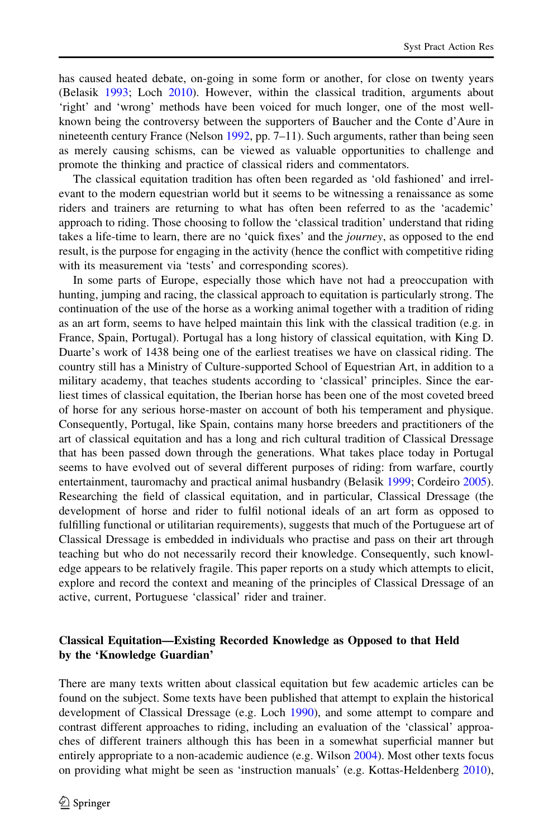has caused heated debate, on-going in some form or another, for close on twenty years (Belasik [1993](#page-18-0); Loch [2010\)](#page-19-0). However, within the classical tradition, arguments about 'right' and 'wrong' methods have been voiced for much longer, one of the most wellknown being the controversy between the supporters of Baucher and the Conte d'Aure in nineteenth century France (Nelson [1992,](#page-19-0) pp. 7–11). Such arguments, rather than being seen as merely causing schisms, can be viewed as valuable opportunities to challenge and promote the thinking and practice of classical riders and commentators.

The classical equitation tradition has often been regarded as 'old fashioned' and irrelevant to the modern equestrian world but it seems to be witnessing a renaissance as some riders and trainers are returning to what has often been referred to as the 'academic' approach to riding. Those choosing to follow the 'classical tradition' understand that riding takes a life-time to learn, there are no 'quick fixes' and the *journey*, as opposed to the end result, is the purpose for engaging in the activity (hence the conflict with competitive riding with its measurement via 'tests' and corresponding scores).

In some parts of Europe, especially those which have not had a preoccupation with hunting, jumping and racing, the classical approach to equitation is particularly strong. The continuation of the use of the horse as a working animal together with a tradition of riding as an art form, seems to have helped maintain this link with the classical tradition (e.g. in France, Spain, Portugal). Portugal has a long history of classical equitation, with King D. Duarte's work of 1438 being one of the earliest treatises we have on classical riding. The country still has a Ministry of Culture-supported School of Equestrian Art, in addition to a military academy, that teaches students according to 'classical' principles. Since the earliest times of classical equitation, the Iberian horse has been one of the most coveted breed of horse for any serious horse-master on account of both his temperament and physique. Consequently, Portugal, like Spain, contains many horse breeders and practitioners of the art of classical equitation and has a long and rich cultural tradition of Classical Dressage that has been passed down through the generations. What takes place today in Portugal seems to have evolved out of several different purposes of riding: from warfare, courtly entertainment, tauromachy and practical animal husbandry (Belasik [1999;](#page-18-0) Cordeiro [2005](#page-18-0)). Researching the field of classical equitation, and in particular, Classical Dressage (the development of horse and rider to fulfil notional ideals of an art form as opposed to fulfilling functional or utilitarian requirements), suggests that much of the Portuguese art of Classical Dressage is embedded in individuals who practise and pass on their art through teaching but who do not necessarily record their knowledge. Consequently, such knowledge appears to be relatively fragile. This paper reports on a study which attempts to elicit, explore and record the context and meaning of the principles of Classical Dressage of an active, current, Portuguese 'classical' rider and trainer.

# Classical Equitation—Existing Recorded Knowledge as Opposed to that Held by the 'Knowledge Guardian'

There are many texts written about classical equitation but few academic articles can be found on the subject. Some texts have been published that attempt to explain the historical development of Classical Dressage (e.g. Loch [1990\)](#page-18-0), and some attempt to compare and contrast different approaches to riding, including an evaluation of the 'classical' approaches of different trainers although this has been in a somewhat superficial manner but entirely appropriate to a non-academic audience (e.g. Wilson [2004](#page-19-0)). Most other texts focus on providing what might be seen as 'instruction manuals' (e.g. Kottas-Heldenberg [2010](#page-18-0)),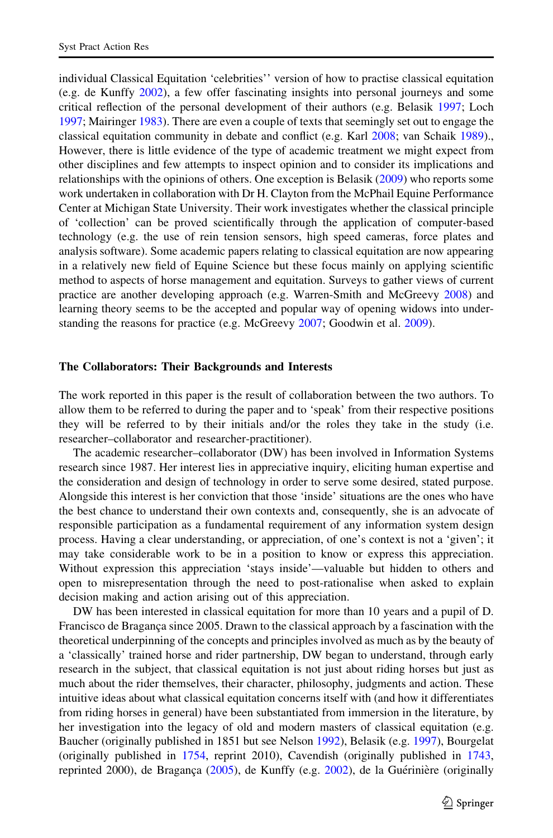individual Classical Equitation 'celebrities'' version of how to practise classical equitation (e.g. de Kunffy [2002\)](#page-18-0), a few offer fascinating insights into personal journeys and some critical reflection of the personal development of their authors (e.g. Belasik [1997;](#page-18-0) Loch [1997;](#page-18-0) Mairinger [1983](#page-19-0)). There are even a couple of texts that seemingly set out to engage the classical equitation community in debate and conflict (e.g. Karl [2008;](#page-18-0) van Schaik [1989\)](#page-19-0)., However, there is little evidence of the type of academic treatment we might expect from other disciplines and few attempts to inspect opinion and to consider its implications and relationships with the opinions of others. One exception is Belasik ([2009\)](#page-18-0) who reports some work undertaken in collaboration with Dr H. Clayton from the McPhail Equine Performance Center at Michigan State University. Their work investigates whether the classical principle of 'collection' can be proved scientifically through the application of computer-based technology (e.g. the use of rein tension sensors, high speed cameras, force plates and analysis software). Some academic papers relating to classical equitation are now appearing in a relatively new field of Equine Science but these focus mainly on applying scientific method to aspects of horse management and equitation. Surveys to gather views of current practice are another developing approach (e.g. Warren-Smith and McGreevy [2008](#page-19-0)) and learning theory seems to be the accepted and popular way of opening widows into under-standing the reasons for practice (e.g. McGreevy [2007](#page-19-0); Goodwin et al. [2009](#page-18-0)).

#### The Collaborators: Their Backgrounds and Interests

The work reported in this paper is the result of collaboration between the two authors. To allow them to be referred to during the paper and to 'speak' from their respective positions they will be referred to by their initials and/or the roles they take in the study (i.e. researcher–collaborator and researcher-practitioner).

The academic researcher–collaborator (DW) has been involved in Information Systems research since 1987. Her interest lies in appreciative inquiry, eliciting human expertise and the consideration and design of technology in order to serve some desired, stated purpose. Alongside this interest is her conviction that those 'inside' situations are the ones who have the best chance to understand their own contexts and, consequently, she is an advocate of responsible participation as a fundamental requirement of any information system design process. Having a clear understanding, or appreciation, of one's context is not a 'given'; it may take considerable work to be in a position to know or express this appreciation. Without expression this appreciation 'stays inside'—valuable but hidden to others and open to misrepresentation through the need to post-rationalise when asked to explain decision making and action arising out of this appreciation.

DW has been interested in classical equitation for more than 10 years and a pupil of D. Francisco de Bragança since 2005. Drawn to the classical approach by a fascination with the theoretical underpinning of the concepts and principles involved as much as by the beauty of a 'classically' trained horse and rider partnership, DW began to understand, through early research in the subject, that classical equitation is not just about riding horses but just as much about the rider themselves, their character, philosophy, judgments and action. These intuitive ideas about what classical equitation concerns itself with (and how it differentiates from riding horses in general) have been substantiated from immersion in the literature, by her investigation into the legacy of old and modern masters of classical equitation (e.g. Baucher (originally published in 1851 but see Nelson [1992](#page-19-0)), Belasik (e.g. [1997](#page-18-0)), Bourgelat (originally published in [1754,](#page-18-0) reprint 2010), Cavendish (originally published in [1743](#page-18-0), reprinted 2000), de Bragança [\(2005\)](#page-18-0), de Kunffy (e.g. [2002](#page-18-0)), de la Guérinière (originally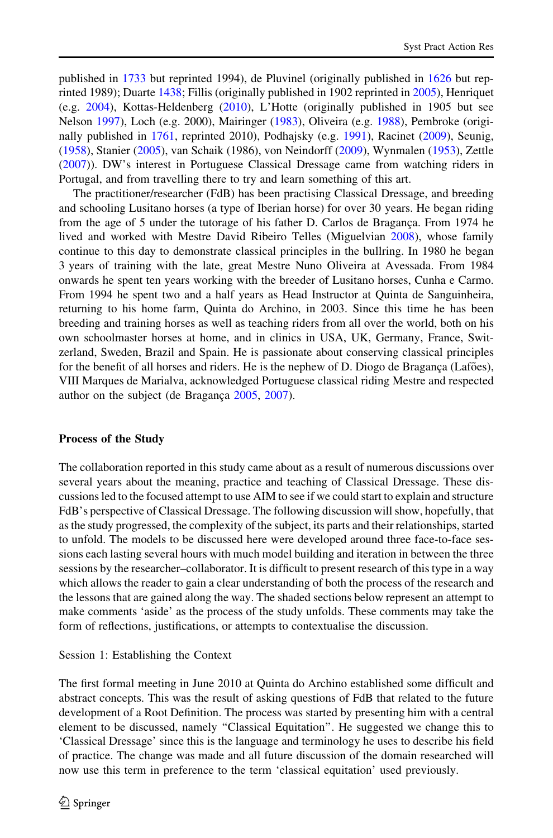published in [1733](#page-18-0) but reprinted 1994), de Pluvinel (originally published in [1626](#page-18-0) but reprinted 1989); Duarte [1438;](#page-18-0) Fillis (originally published in 1902 reprinted in [2005](#page-18-0)), Henriquet (e.g. [2004](#page-18-0)), Kottas-Heldenberg ([2010](#page-18-0)), L'Hotte (originally published in 1905 but see Nelson [1997\)](#page-19-0), Loch (e.g. 2000), Mairinger ([1983\)](#page-19-0), Oliveira (e.g. [1988](#page-19-0)), Pembroke (originally published in [1761,](#page-19-0) reprinted 2010), Podhajsky (e.g. [1991\)](#page-19-0), Racinet [\(2009](#page-19-0)), Seunig, ([1958\)](#page-19-0), Stanier [\(2005](#page-19-0)), van Schaik (1986), von Neindorff ([2009](#page-19-0)), Wynmalen ([1953](#page-19-0)), Zettle ([2007\)](#page-19-0)). DW's interest in Portuguese Classical Dressage came from watching riders in Portugal, and from travelling there to try and learn something of this art.

The practitioner/researcher (FdB) has been practising Classical Dressage, and breeding and schooling Lusitano horses (a type of Iberian horse) for over 30 years. He began riding from the age of 5 under the tutorage of his father D. Carlos de Bragança. From 1974 he lived and worked with Mestre David Ribeiro Telles (Miguelvian [2008\)](#page-19-0), whose family continue to this day to demonstrate classical principles in the bullring. In 1980 he began 3 years of training with the late, great Mestre Nuno Oliveira at Avessada. From 1984 onwards he spent ten years working with the breeder of Lusitano horses, Cunha e Carmo. From 1994 he spent two and a half years as Head Instructor at Quinta de Sanguinheira, returning to his home farm, Quinta do Archino, in 2003. Since this time he has been breeding and training horses as well as teaching riders from all over the world, both on his own schoolmaster horses at home, and in clinics in USA, UK, Germany, France, Switzerland, Sweden, Brazil and Spain. He is passionate about conserving classical principles for the benefit of all horses and riders. He is the nephew of D. Diogo de Bragança (Lafões), VIII Marques de Marialva, acknowledged Portuguese classical riding Mestre and respected author on the subject (de Bragança  $2005$ ,  $2007$ ).

## Process of the Study

The collaboration reported in this study came about as a result of numerous discussions over several years about the meaning, practice and teaching of Classical Dressage. These discussions led to the focused attempt to use AIM to see if we could start to explain and structure FdB's perspective of Classical Dressage. The following discussion will show, hopefully, that as the study progressed, the complexity of the subject, its parts and their relationships, started to unfold. The models to be discussed here were developed around three face-to-face sessions each lasting several hours with much model building and iteration in between the three sessions by the researcher–collaborator. It is difficult to present research of this type in a way which allows the reader to gain a clear understanding of both the process of the research and the lessons that are gained along the way. The shaded sections below represent an attempt to make comments 'aside' as the process of the study unfolds. These comments may take the form of reflections, justifications, or attempts to contextualise the discussion.

#### Session 1: Establishing the Context

The first formal meeting in June 2010 at Quinta do Archino established some difficult and abstract concepts. This was the result of asking questions of FdB that related to the future development of a Root Definition. The process was started by presenting him with a central element to be discussed, namely ''Classical Equitation''. He suggested we change this to 'Classical Dressage' since this is the language and terminology he uses to describe his field of practice. The change was made and all future discussion of the domain researched will now use this term in preference to the term 'classical equitation' used previously.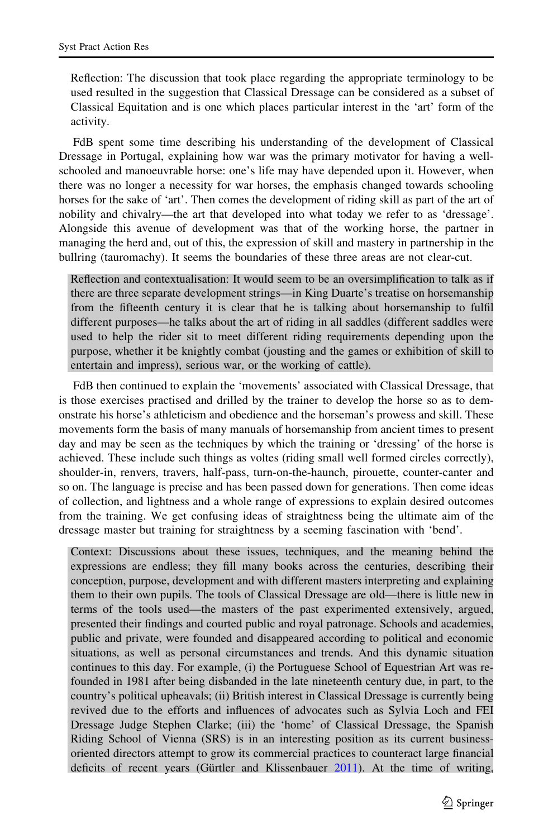Reflection: The discussion that took place regarding the appropriate terminology to be used resulted in the suggestion that Classical Dressage can be considered as a subset of Classical Equitation and is one which places particular interest in the 'art' form of the activity.

FdB spent some time describing his understanding of the development of Classical Dressage in Portugal, explaining how war was the primary motivator for having a wellschooled and manoeuvrable horse: one's life may have depended upon it. However, when there was no longer a necessity for war horses, the emphasis changed towards schooling horses for the sake of 'art'. Then comes the development of riding skill as part of the art of nobility and chivalry—the art that developed into what today we refer to as 'dressage'. Alongside this avenue of development was that of the working horse, the partner in managing the herd and, out of this, the expression of skill and mastery in partnership in the bullring (tauromachy). It seems the boundaries of these three areas are not clear-cut.

Reflection and contextualisation: It would seem to be an oversimplification to talk as if there are three separate development strings—in King Duarte's treatise on horsemanship from the fifteenth century it is clear that he is talking about horsemanship to fulfil different purposes—he talks about the art of riding in all saddles (different saddles were used to help the rider sit to meet different riding requirements depending upon the purpose, whether it be knightly combat (jousting and the games or exhibition of skill to entertain and impress), serious war, or the working of cattle).

FdB then continued to explain the 'movements' associated with Classical Dressage, that is those exercises practised and drilled by the trainer to develop the horse so as to demonstrate his horse's athleticism and obedience and the horseman's prowess and skill. These movements form the basis of many manuals of horsemanship from ancient times to present day and may be seen as the techniques by which the training or 'dressing' of the horse is achieved. These include such things as voltes (riding small well formed circles correctly), shoulder-in, renvers, travers, half-pass, turn-on-the-haunch, pirouette, counter-canter and so on. The language is precise and has been passed down for generations. Then come ideas of collection, and lightness and a whole range of expressions to explain desired outcomes from the training. We get confusing ideas of straightness being the ultimate aim of the dressage master but training for straightness by a seeming fascination with 'bend'.

Context: Discussions about these issues, techniques, and the meaning behind the expressions are endless; they fill many books across the centuries, describing their conception, purpose, development and with different masters interpreting and explaining them to their own pupils. The tools of Classical Dressage are old—there is little new in terms of the tools used—the masters of the past experimented extensively, argued, presented their findings and courted public and royal patronage. Schools and academies, public and private, were founded and disappeared according to political and economic situations, as well as personal circumstances and trends. And this dynamic situation continues to this day. For example, (i) the Portuguese School of Equestrian Art was refounded in 1981 after being disbanded in the late nineteenth century due, in part, to the country's political upheavals; (ii) British interest in Classical Dressage is currently being revived due to the efforts and influences of advocates such as Sylvia Loch and FEI Dressage Judge Stephen Clarke; (iii) the 'home' of Classical Dressage, the Spanish Riding School of Vienna (SRS) is in an interesting position as its current businessoriented directors attempt to grow its commercial practices to counteract large financial deficits of recent years (Gürtler and Klissenbauer  $2011$ ). At the time of writing,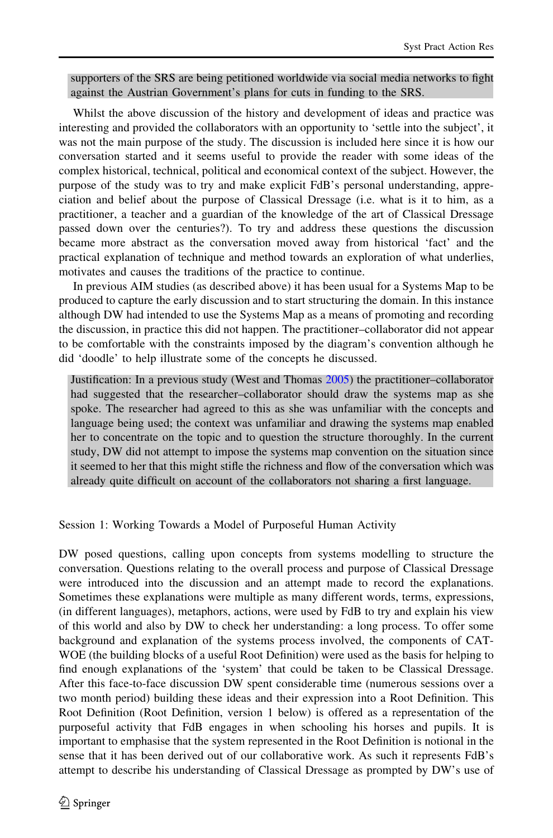supporters of the SRS are being petitioned worldwide via social media networks to fight against the Austrian Government's plans for cuts in funding to the SRS.

Whilst the above discussion of the history and development of ideas and practice was interesting and provided the collaborators with an opportunity to 'settle into the subject', it was not the main purpose of the study. The discussion is included here since it is how our conversation started and it seems useful to provide the reader with some ideas of the complex historical, technical, political and economical context of the subject. However, the purpose of the study was to try and make explicit FdB's personal understanding, appreciation and belief about the purpose of Classical Dressage (i.e. what is it to him, as a practitioner, a teacher and a guardian of the knowledge of the art of Classical Dressage passed down over the centuries?). To try and address these questions the discussion became more abstract as the conversation moved away from historical 'fact' and the practical explanation of technique and method towards an exploration of what underlies, motivates and causes the traditions of the practice to continue.

In previous AIM studies (as described above) it has been usual for a Systems Map to be produced to capture the early discussion and to start structuring the domain. In this instance although DW had intended to use the Systems Map as a means of promoting and recording the discussion, in practice this did not happen. The practitioner–collaborator did not appear to be comfortable with the constraints imposed by the diagram's convention although he did 'doodle' to help illustrate some of the concepts he discussed.

Justification: In a previous study (West and Thomas [2005\)](#page-19-0) the practitioner–collaborator had suggested that the researcher–collaborator should draw the systems map as she spoke. The researcher had agreed to this as she was unfamiliar with the concepts and language being used; the context was unfamiliar and drawing the systems map enabled her to concentrate on the topic and to question the structure thoroughly. In the current study, DW did not attempt to impose the systems map convention on the situation since it seemed to her that this might stifle the richness and flow of the conversation which was already quite difficult on account of the collaborators not sharing a first language.

Session 1: Working Towards a Model of Purposeful Human Activity

DW posed questions, calling upon concepts from systems modelling to structure the conversation. Questions relating to the overall process and purpose of Classical Dressage were introduced into the discussion and an attempt made to record the explanations. Sometimes these explanations were multiple as many different words, terms, expressions, (in different languages), metaphors, actions, were used by FdB to try and explain his view of this world and also by DW to check her understanding: a long process. To offer some background and explanation of the systems process involved, the components of CAT-WOE (the building blocks of a useful Root Definition) were used as the basis for helping to find enough explanations of the 'system' that could be taken to be Classical Dressage. After this face-to-face discussion DW spent considerable time (numerous sessions over a two month period) building these ideas and their expression into a Root Definition. This Root Definition (Root Definition, version 1 below) is offered as a representation of the purposeful activity that FdB engages in when schooling his horses and pupils. It is important to emphasise that the system represented in the Root Definition is notional in the sense that it has been derived out of our collaborative work. As such it represents FdB's attempt to describe his understanding of Classical Dressage as prompted by DW's use of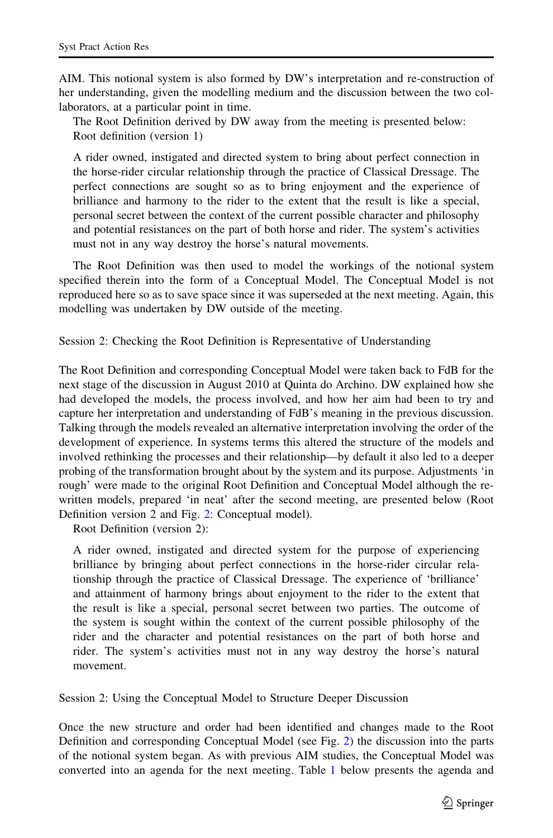AIM. This notional system is also formed by DW's interpretation and re-construction of her understanding, given the modelling medium and the discussion between the two collaborators, at a particular point in time.

The Root Definition derived by DW away from the meeting is presented below: Root definition (version 1)

A rider owned, instigated and directed system to bring about perfect connection in the horse-rider circular relationship through the practice of Classical Dressage. The perfect connections are sought so as to bring enjoyment and the experience of brilliance and harmony to the rider to the extent that the result is like a special, personal secret between the context of the current possible character and philosophy and potential resistances on the part of both horse and rider. The system's activities must not in any way destroy the horse's natural movements.

The Root Definition was then used to model the workings of the notional system specified therein into the form of a Conceptual Model. The Conceptual Model is not reproduced here so as to save space since it was superseded at the next meeting. Again, this modelling was undertaken by DW outside of the meeting.

Session 2: Checking the Root Definition is Representative of Understanding

The Root Definition and corresponding Conceptual Model were taken back to FdB for the next stage of the discussion in August 2010 at Quinta do Archino. DW explained how she had developed the models, the process involved, and how her aim had been to try and capture her interpretation and understanding of FdB's meaning in the previous discussion. Talking through the models revealed an alternative interpretation involving the order of the development of experience. In systems terms this altered the structure of the models and involved rethinking the processes and their relationship—by default it also led to a deeper probing of the transformation brought about by the system and its purpose. Adjustments 'in rough' were made to the original Root Definition and Conceptual Model although the rewritten models, prepared 'in neat' after the second meeting, are presented below (Root Definition version 2 and Fig. [2:](#page-11-0) Conceptual model).

Root Definition (version 2):

A rider owned, instigated and directed system for the purpose of experiencing brilliance by bringing about perfect connections in the horse-rider circular relationship through the practice of Classical Dressage. The experience of 'brilliance' and attainment of harmony brings about enjoyment to the rider to the extent that the result is like a special, personal secret between two parties. The outcome of the system is sought within the context of the current possible philosophy of the rider and the character and potential resistances on the part of both horse and rider. The system's activities must not in any way destroy the horse's natural movement.

Session 2: Using the Conceptual Model to Structure Deeper Discussion

Once the new structure and order had been identified and changes made to the Root Definition and corresponding Conceptual Model (see Fig. [2\)](#page-11-0) the discussion into the parts of the notional system began. As with previous AIM studies, the Conceptual Model was converted into an agenda for the next meeting. Table [1](#page-11-0) below presents the agenda and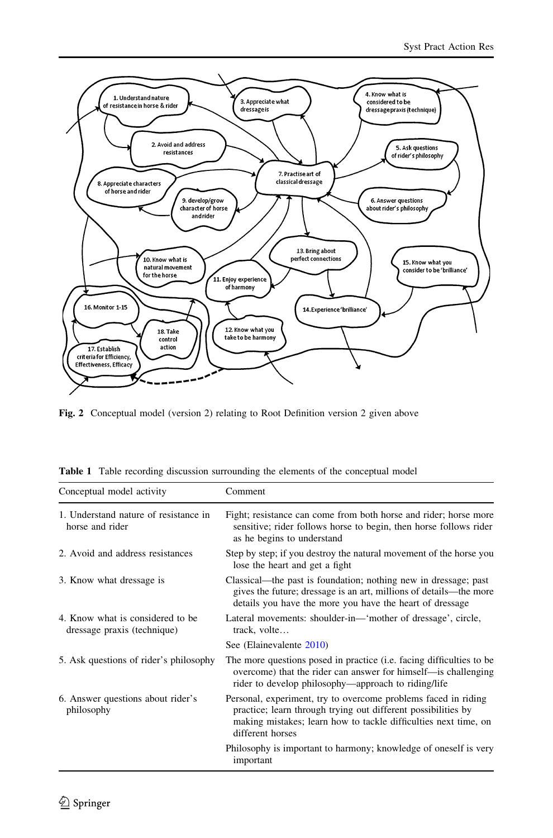<span id="page-11-0"></span>

Fig. 2 Conceptual model (version 2) relating to Root Definition version 2 given above

| Conceptual model activity                                        | Comment                                                                                                                                                                                                                |  |
|------------------------------------------------------------------|------------------------------------------------------------------------------------------------------------------------------------------------------------------------------------------------------------------------|--|
| 1. Understand nature of resistance in<br>horse and rider         | Fight; resistance can come from both horse and rider; horse more<br>sensitive; rider follows horse to begin, then horse follows rider<br>as he begins to understand                                                    |  |
| 2. Avoid and address resistances                                 | Step by step; if you destroy the natural movement of the horse you<br>lose the heart and get a fight                                                                                                                   |  |
| 3. Know what dressage is                                         | Classical—the past is foundation; nothing new in dressage; past<br>gives the future; dressage is an art, millions of details—the more<br>details you have the more you have the heart of dressage                      |  |
| 4. Know what is considered to be.<br>dressage praxis (technique) | Lateral movements: shoulder-in—'mother of dressage', circle,<br>track, volte                                                                                                                                           |  |
|                                                                  | See (Elainevalente 2010)                                                                                                                                                                                               |  |
| 5. Ask questions of rider's philosophy                           | The more questions posed in practice ( <i>i.e.</i> facing difficulties to be<br>overcome) that the rider can answer for himself—is challenging<br>rider to develop philosophy—approach to riding/life                  |  |
| 6. Answer questions about rider's<br>philosophy                  | Personal, experiment, try to overcome problems faced in riding<br>practice; learn through trying out different possibilities by<br>making mistakes; learn how to tackle difficulties next time, on<br>different horses |  |
|                                                                  | Philosophy is important to harmony; knowledge of oneself is very<br>important                                                                                                                                          |  |

Table 1 Table recording discussion surrounding the elements of the conceptual model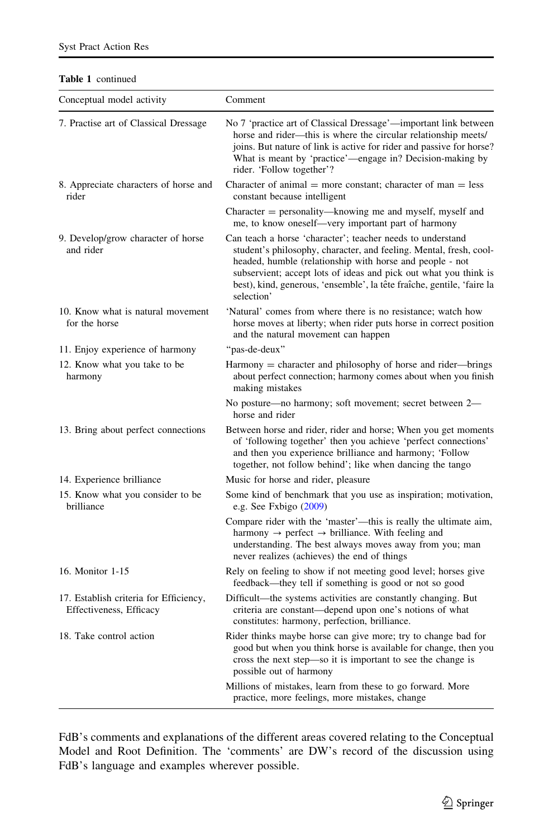|  | <b>Table 1</b> continued |
|--|--------------------------|
|  |                          |

| Conceptual model activity                                         | Comment                                                                                                                                                                                                                                                                                                                                                  |
|-------------------------------------------------------------------|----------------------------------------------------------------------------------------------------------------------------------------------------------------------------------------------------------------------------------------------------------------------------------------------------------------------------------------------------------|
| 7. Practise art of Classical Dressage                             | No 7 'practice art of Classical Dressage'—important link between<br>horse and rider—this is where the circular relationship meets/<br>joins. But nature of link is active for rider and passive for horse?<br>What is meant by 'practice'—engage in? Decision-making by<br>rider. 'Follow together'?                                                     |
| 8. Appreciate characters of horse and<br>rider                    | Character of animal = more constant; character of $man = less$<br>constant because intelligent                                                                                                                                                                                                                                                           |
|                                                                   | Character $=$ personality—knowing me and myself, myself and<br>me, to know oneself—very important part of harmony                                                                                                                                                                                                                                        |
| 9. Develop/grow character of horse<br>and rider                   | Can teach a horse 'character'; teacher needs to understand<br>student's philosophy, character, and feeling. Mental, fresh, cool-<br>headed, humble (relationship with horse and people - not<br>subservient; accept lots of ideas and pick out what you think is<br>best), kind, generous, 'ensemble', la tête fraîche, gentile, 'faire la<br>selection' |
| 10. Know what is natural movement<br>for the horse                | 'Natural' comes from where there is no resistance; watch how<br>horse moves at liberty; when rider puts horse in correct position<br>and the natural movement can happen                                                                                                                                                                                 |
| 11. Enjoy experience of harmony                                   | "pas-de-deux"                                                                                                                                                                                                                                                                                                                                            |
| 12. Know what you take to be<br>harmony                           | $\text{Harmony} = \text{character}$ and philosophy of horse and rider—brings<br>about perfect connection; harmony comes about when you finish<br>making mistakes                                                                                                                                                                                         |
|                                                                   | No posture—no harmony; soft movement; secret between 2—<br>horse and rider                                                                                                                                                                                                                                                                               |
| 13. Bring about perfect connections                               | Between horse and rider, rider and horse; When you get moments<br>of 'following together' then you achieve 'perfect connections'<br>and then you experience brilliance and harmony; 'Follow<br>together, not follow behind'; like when dancing the tango                                                                                                 |
| 14. Experience brilliance                                         | Music for horse and rider, pleasure                                                                                                                                                                                                                                                                                                                      |
| 15. Know what you consider to be<br>brilliance                    | Some kind of benchmark that you use as inspiration; motivation,<br>e.g. See Fxbigo (2009)                                                                                                                                                                                                                                                                |
|                                                                   | Compare rider with the 'master'—this is really the ultimate aim,<br>harmony $\rightarrow$ perfect $\rightarrow$ brilliance. With feeling and<br>understanding. The best always moves away from you; man<br>never realizes (achieves) the end of things                                                                                                   |
| 16. Monitor 1-15                                                  | Rely on feeling to show if not meeting good level; horses give<br>feedback—they tell if something is good or not so good                                                                                                                                                                                                                                 |
| 17. Establish criteria for Efficiency,<br>Effectiveness, Efficacy | Difficult—the systems activities are constantly changing. But<br>criteria are constant-depend upon one's notions of what<br>constitutes: harmony, perfection, brilliance.                                                                                                                                                                                |
| 18. Take control action                                           | Rider thinks maybe horse can give more; try to change bad for<br>good but when you think horse is available for change, then you<br>cross the next step—so it is important to see the change is<br>possible out of harmony                                                                                                                               |
|                                                                   | Millions of mistakes, learn from these to go forward. More<br>practice, more feelings, more mistakes, change                                                                                                                                                                                                                                             |

FdB's comments and explanations of the different areas covered relating to the Conceptual Model and Root Definition. The 'comments' are DW's record of the discussion using FdB's language and examples wherever possible.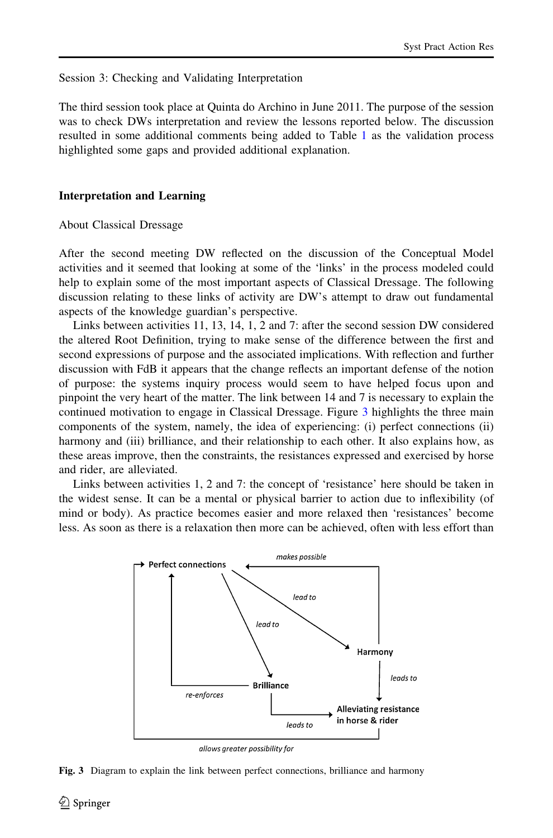## Session 3: Checking and Validating Interpretation

The third session took place at Quinta do Archino in June 2011. The purpose of the session was to check DWs interpretation and review the lessons reported below. The discussion resulted in some additional comments being added to Table [1](#page-11-0) as the validation process highlighted some gaps and provided additional explanation.

# Interpretation and Learning

## About Classical Dressage

After the second meeting DW reflected on the discussion of the Conceptual Model activities and it seemed that looking at some of the 'links' in the process modeled could help to explain some of the most important aspects of Classical Dressage. The following discussion relating to these links of activity are DW's attempt to draw out fundamental aspects of the knowledge guardian's perspective.

Links between activities 11, 13, 14, 1, 2 and 7: after the second session DW considered the altered Root Definition, trying to make sense of the difference between the first and second expressions of purpose and the associated implications. With reflection and further discussion with FdB it appears that the change reflects an important defense of the notion of purpose: the systems inquiry process would seem to have helped focus upon and pinpoint the very heart of the matter. The link between 14 and 7 is necessary to explain the continued motivation to engage in Classical Dressage. Figure 3 highlights the three main components of the system, namely, the idea of experiencing: (i) perfect connections (ii) harmony and (iii) brilliance, and their relationship to each other. It also explains how, as these areas improve, then the constraints, the resistances expressed and exercised by horse and rider, are alleviated.

Links between activities 1, 2 and 7: the concept of 'resistance' here should be taken in the widest sense. It can be a mental or physical barrier to action due to inflexibility (of mind or body). As practice becomes easier and more relaxed then 'resistances' become less. As soon as there is a relaxation then more can be achieved, often with less effort than



allows greater possibility for

Fig. 3 Diagram to explain the link between perfect connections, brilliance and harmony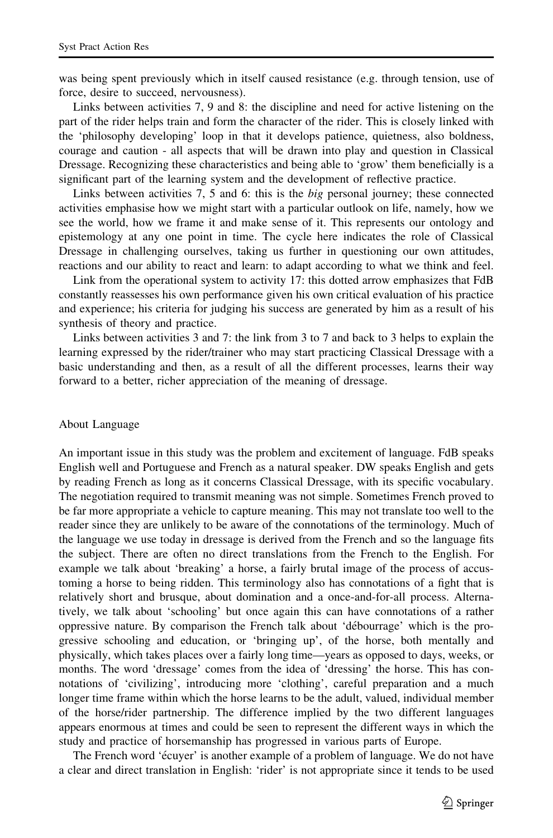was being spent previously which in itself caused resistance (e.g. through tension, use of force, desire to succeed, nervousness).

Links between activities 7, 9 and 8: the discipline and need for active listening on the part of the rider helps train and form the character of the rider. This is closely linked with the 'philosophy developing' loop in that it develops patience, quietness, also boldness, courage and caution - all aspects that will be drawn into play and question in Classical Dressage. Recognizing these characteristics and being able to 'grow' them beneficially is a significant part of the learning system and the development of reflective practice.

Links between activities 7, 5 and 6: this is the big personal journey; these connected activities emphasise how we might start with a particular outlook on life, namely, how we see the world, how we frame it and make sense of it. This represents our ontology and epistemology at any one point in time. The cycle here indicates the role of Classical Dressage in challenging ourselves, taking us further in questioning our own attitudes, reactions and our ability to react and learn: to adapt according to what we think and feel.

Link from the operational system to activity 17: this dotted arrow emphasizes that FdB constantly reassesses his own performance given his own critical evaluation of his practice and experience; his criteria for judging his success are generated by him as a result of his synthesis of theory and practice.

Links between activities 3 and 7: the link from 3 to 7 and back to 3 helps to explain the learning expressed by the rider/trainer who may start practicing Classical Dressage with a basic understanding and then, as a result of all the different processes, learns their way forward to a better, richer appreciation of the meaning of dressage.

#### About Language

An important issue in this study was the problem and excitement of language. FdB speaks English well and Portuguese and French as a natural speaker. DW speaks English and gets by reading French as long as it concerns Classical Dressage, with its specific vocabulary. The negotiation required to transmit meaning was not simple. Sometimes French proved to be far more appropriate a vehicle to capture meaning. This may not translate too well to the reader since they are unlikely to be aware of the connotations of the terminology. Much of the language we use today in dressage is derived from the French and so the language fits the subject. There are often no direct translations from the French to the English. For example we talk about 'breaking' a horse, a fairly brutal image of the process of accustoming a horse to being ridden. This terminology also has connotations of a fight that is relatively short and brusque, about domination and a once-and-for-all process. Alternatively, we talk about 'schooling' but once again this can have connotations of a rather oppressive nature. By comparison the French talk about 'de´bourrage' which is the progressive schooling and education, or 'bringing up', of the horse, both mentally and physically, which takes places over a fairly long time—years as opposed to days, weeks, or months. The word 'dressage' comes from the idea of 'dressing' the horse. This has connotations of 'civilizing', introducing more 'clothing', careful preparation and a much longer time frame within which the horse learns to be the adult, valued, individual member of the horse/rider partnership. The difference implied by the two different languages appears enormous at times and could be seen to represent the different ways in which the study and practice of horsemanship has progressed in various parts of Europe.

The French word 'écuyer' is another example of a problem of language. We do not have a clear and direct translation in English: 'rider' is not appropriate since it tends to be used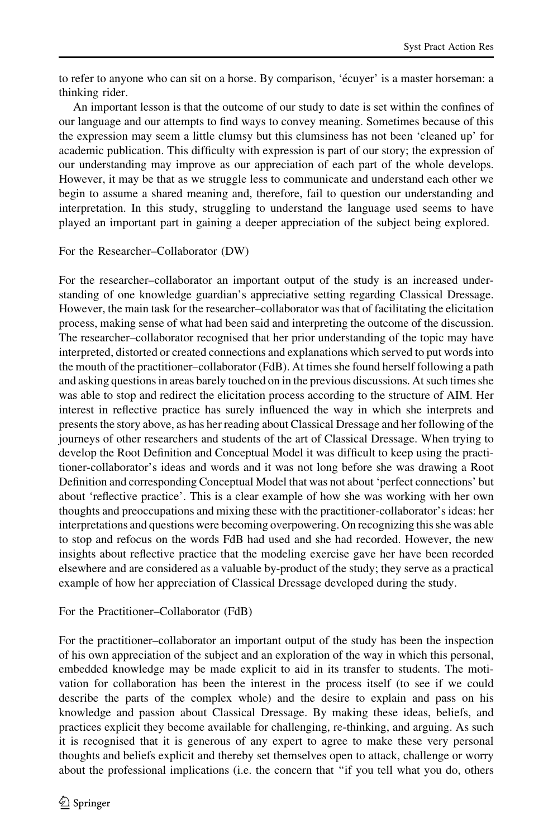to refer to anyone who can sit on a horse. By comparison, 'écuyer' is a master horseman: a thinking rider.

An important lesson is that the outcome of our study to date is set within the confines of our language and our attempts to find ways to convey meaning. Sometimes because of this the expression may seem a little clumsy but this clumsiness has not been 'cleaned up' for academic publication. This difficulty with expression is part of our story; the expression of our understanding may improve as our appreciation of each part of the whole develops. However, it may be that as we struggle less to communicate and understand each other we begin to assume a shared meaning and, therefore, fail to question our understanding and interpretation. In this study, struggling to understand the language used seems to have played an important part in gaining a deeper appreciation of the subject being explored.

# For the Researcher–Collaborator (DW)

For the researcher–collaborator an important output of the study is an increased understanding of one knowledge guardian's appreciative setting regarding Classical Dressage. However, the main task for the researcher–collaborator was that of facilitating the elicitation process, making sense of what had been said and interpreting the outcome of the discussion. The researcher–collaborator recognised that her prior understanding of the topic may have interpreted, distorted or created connections and explanations which served to put words into the mouth of the practitioner–collaborator (FdB). At times she found herself following a path and asking questions in areas barely touched on in the previous discussions. At such times she was able to stop and redirect the elicitation process according to the structure of AIM. Her interest in reflective practice has surely influenced the way in which she interprets and presents the story above, as has her reading about Classical Dressage and her following of the journeys of other researchers and students of the art of Classical Dressage. When trying to develop the Root Definition and Conceptual Model it was difficult to keep using the practitioner-collaborator's ideas and words and it was not long before she was drawing a Root Definition and corresponding Conceptual Model that was not about 'perfect connections' but about 'reflective practice'. This is a clear example of how she was working with her own thoughts and preoccupations and mixing these with the practitioner-collaborator's ideas: her interpretations and questions were becoming overpowering. On recognizing this she was able to stop and refocus on the words FdB had used and she had recorded. However, the new insights about reflective practice that the modeling exercise gave her have been recorded elsewhere and are considered as a valuable by-product of the study; they serve as a practical example of how her appreciation of Classical Dressage developed during the study.

# For the Practitioner–Collaborator (FdB)

For the practitioner–collaborator an important output of the study has been the inspection of his own appreciation of the subject and an exploration of the way in which this personal, embedded knowledge may be made explicit to aid in its transfer to students. The motivation for collaboration has been the interest in the process itself (to see if we could describe the parts of the complex whole) and the desire to explain and pass on his knowledge and passion about Classical Dressage. By making these ideas, beliefs, and practices explicit they become available for challenging, re-thinking, and arguing. As such it is recognised that it is generous of any expert to agree to make these very personal thoughts and beliefs explicit and thereby set themselves open to attack, challenge or worry about the professional implications (i.e. the concern that ''if you tell what you do, others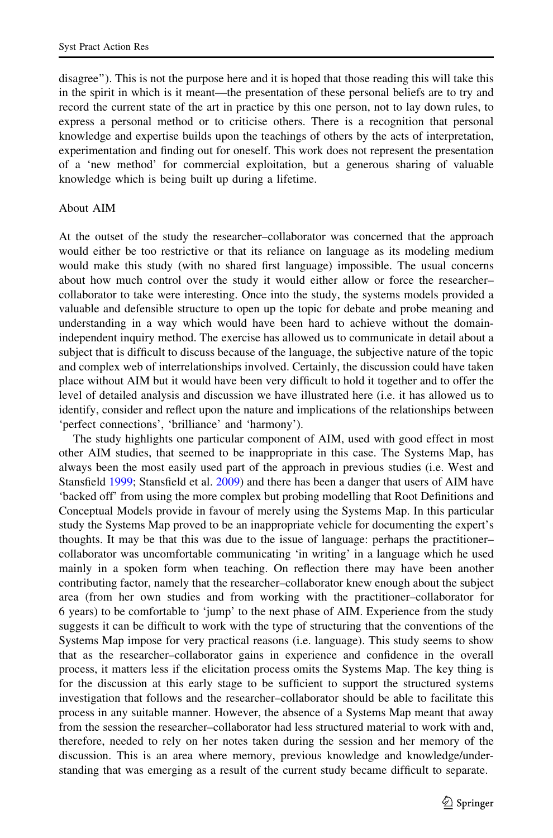disagree''). This is not the purpose here and it is hoped that those reading this will take this in the spirit in which is it meant—the presentation of these personal beliefs are to try and record the current state of the art in practice by this one person, not to lay down rules, to express a personal method or to criticise others. There is a recognition that personal knowledge and expertise builds upon the teachings of others by the acts of interpretation, experimentation and finding out for oneself. This work does not represent the presentation of a 'new method' for commercial exploitation, but a generous sharing of valuable knowledge which is being built up during a lifetime.

# About AIM

At the outset of the study the researcher–collaborator was concerned that the approach would either be too restrictive or that its reliance on language as its modeling medium would make this study (with no shared first language) impossible. The usual concerns about how much control over the study it would either allow or force the researcher– collaborator to take were interesting. Once into the study, the systems models provided a valuable and defensible structure to open up the topic for debate and probe meaning and understanding in a way which would have been hard to achieve without the domainindependent inquiry method. The exercise has allowed us to communicate in detail about a subject that is difficult to discuss because of the language, the subjective nature of the topic and complex web of interrelationships involved. Certainly, the discussion could have taken place without AIM but it would have been very difficult to hold it together and to offer the level of detailed analysis and discussion we have illustrated here (i.e. it has allowed us to identify, consider and reflect upon the nature and implications of the relationships between 'perfect connections', 'brilliance' and 'harmony').

The study highlights one particular component of AIM, used with good effect in most other AIM studies, that seemed to be inappropriate in this case. The Systems Map, has always been the most easily used part of the approach in previous studies (i.e. West and Stansfield [1999;](#page-19-0) Stansfield et al. [2009\)](#page-19-0) and there has been a danger that users of AIM have 'backed off' from using the more complex but probing modelling that Root Definitions and Conceptual Models provide in favour of merely using the Systems Map. In this particular study the Systems Map proved to be an inappropriate vehicle for documenting the expert's thoughts. It may be that this was due to the issue of language: perhaps the practitioner– collaborator was uncomfortable communicating 'in writing' in a language which he used mainly in a spoken form when teaching. On reflection there may have been another contributing factor, namely that the researcher–collaborator knew enough about the subject area (from her own studies and from working with the practitioner–collaborator for 6 years) to be comfortable to 'jump' to the next phase of AIM. Experience from the study suggests it can be difficult to work with the type of structuring that the conventions of the Systems Map impose for very practical reasons (i.e. language). This study seems to show that as the researcher–collaborator gains in experience and confidence in the overall process, it matters less if the elicitation process omits the Systems Map. The key thing is for the discussion at this early stage to be sufficient to support the structured systems investigation that follows and the researcher–collaborator should be able to facilitate this process in any suitable manner. However, the absence of a Systems Map meant that away from the session the researcher–collaborator had less structured material to work with and, therefore, needed to rely on her notes taken during the session and her memory of the discussion. This is an area where memory, previous knowledge and knowledge/understanding that was emerging as a result of the current study became difficult to separate.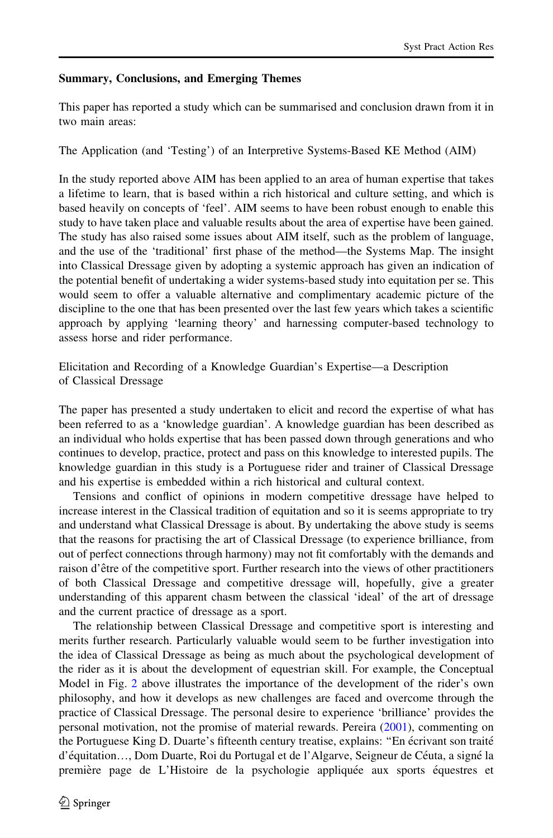# Summary, Conclusions, and Emerging Themes

This paper has reported a study which can be summarised and conclusion drawn from it in two main areas:

The Application (and 'Testing') of an Interpretive Systems-Based KE Method (AIM)

In the study reported above AIM has been applied to an area of human expertise that takes a lifetime to learn, that is based within a rich historical and culture setting, and which is based heavily on concepts of 'feel'. AIM seems to have been robust enough to enable this study to have taken place and valuable results about the area of expertise have been gained. The study has also raised some issues about AIM itself, such as the problem of language, and the use of the 'traditional' first phase of the method—the Systems Map. The insight into Classical Dressage given by adopting a systemic approach has given an indication of the potential benefit of undertaking a wider systems-based study into equitation per se. This would seem to offer a valuable alternative and complimentary academic picture of the discipline to the one that has been presented over the last few years which takes a scientific approach by applying 'learning theory' and harnessing computer-based technology to assess horse and rider performance.

Elicitation and Recording of a Knowledge Guardian's Expertise—a Description of Classical Dressage

The paper has presented a study undertaken to elicit and record the expertise of what has been referred to as a 'knowledge guardian'. A knowledge guardian has been described as an individual who holds expertise that has been passed down through generations and who continues to develop, practice, protect and pass on this knowledge to interested pupils. The knowledge guardian in this study is a Portuguese rider and trainer of Classical Dressage and his expertise is embedded within a rich historical and cultural context.

Tensions and conflict of opinions in modern competitive dressage have helped to increase interest in the Classical tradition of equitation and so it is seems appropriate to try and understand what Classical Dressage is about. By undertaking the above study is seems that the reasons for practising the art of Classical Dressage (to experience brilliance, from out of perfect connections through harmony) may not fit comfortably with the demands and raison d'être of the competitive sport. Further research into the views of other practitioners of both Classical Dressage and competitive dressage will, hopefully, give a greater understanding of this apparent chasm between the classical 'ideal' of the art of dressage and the current practice of dressage as a sport.

The relationship between Classical Dressage and competitive sport is interesting and merits further research. Particularly valuable would seem to be further investigation into the idea of Classical Dressage as being as much about the psychological development of the rider as it is about the development of equestrian skill. For example, the Conceptual Model in Fig. [2](#page-11-0) above illustrates the importance of the development of the rider's own philosophy, and how it develops as new challenges are faced and overcome through the practice of Classical Dressage. The personal desire to experience 'brilliance' provides the personal motivation, not the promise of material rewards. Pereira [\(2001](#page-19-0)), commenting on the Portuguese King D. Duarte's fifteenth century treatise, explains: "En écrivant son traité" d'équitation..., Dom Duarte, Roi du Portugal et de l'Algarve, Seigneur de Céuta, a signé la première page de L'Histoire de la psychologie appliquée aux sports équestres et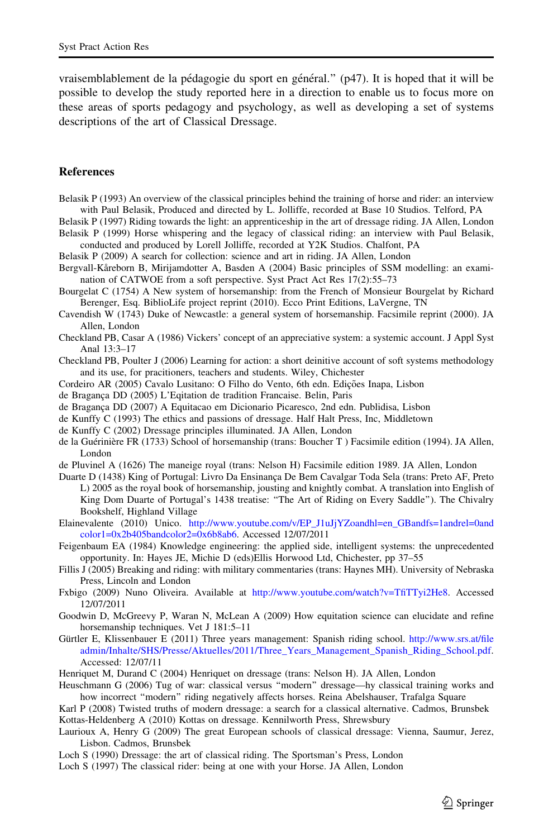<span id="page-18-0"></span>vraisemblablement de la pédagogie du sport en général." (p47). It is hoped that it will be possible to develop the study reported here in a direction to enable us to focus more on these areas of sports pedagogy and psychology, as well as developing a set of systems descriptions of the art of Classical Dressage.

#### References

Belasik P (1993) An overview of the classical principles behind the training of horse and rider: an interview with Paul Belasik, Produced and directed by L. Jolliffe, recorded at Base 10 Studios. Telford, PA

Belasik P (1997) Riding towards the light: an apprenticeship in the art of dressage riding. JA Allen, London Belasik P (1999) Horse whispering and the legacy of classical riding: an interview with Paul Belasik,

conducted and produced by Lorell Jolliffe, recorded at Y2K Studios. Chalfont, PA Belasik P (2009) A search for collection: science and art in riding. JA Allen, London

Bergvall-Kåreborn B, Mirijamdotter A, Basden A (2004) Basic principles of SSM modelling: an examination of CATWOE from a soft perspective. Syst Pract Act Res 17(2):55–73

Bourgelat C (1754) A New system of horsemanship: from the French of Monsieur Bourgelat by Richard Berenger, Esq. BiblioLife project reprint (2010). Ecco Print Editions, LaVergne, TN

Cavendish W (1743) Duke of Newcastle: a general system of horsemanship. Facsimile reprint (2000). JA Allen, London

Checkland PB, Casar A (1986) Vickers' concept of an appreciative system: a systemic account. J Appl Syst Anal 13:3–17

Checkland PB, Poulter J (2006) Learning for action: a short deinitive account of soft systems methodology and its use, for pracitioners, teachers and students. Wiley, Chichester

Cordeiro AR (2005) Cavalo Lusitano: O Filho do Vento, 6th edn. Edições Inapa, Lisbon

de Bragança DD (2005) L'Eqitation de tradition Francaise. Belin, Paris

de Bragança DD (2007) A Equitacao em Dicionario Picaresco, 2nd edn. Publidisa, Lisbon

de Kunffy C (1993) The ethics and passions of dressage. Half Halt Press, Inc, Middletown

de Kunffy C (2002) Dressage principles illuminated. JA Allen, London

de la Guérinière FR (1733) School of horsemanship (trans: Boucher T ) Facsimile edition (1994). JA Allen, London

de Pluvinel A (1626) The maneige royal (trans: Nelson H) Facsimile edition 1989. JA Allen, London

Duarte D (1438) King of Portugal: Livro Da Ensinança De Bem Cavalgar Toda Sela (trans: Preto AF, Preto L) 2005 as the royal book of horsemanship, jousting and knightly combat. A translation into English of King Dom Duarte of Portugal's 1438 treatise: ''The Art of Riding on Every Saddle''). The Chivalry Bookshelf, Highland Village

Elainevalente (2010) Unico. [http://www.youtube.com/v/EP\\_J1uJjYZoandhl=en\\_GBandfs=1andrel=0and](http://www.youtube.com/v/EP_J1uJjYZoandhl=en_GBandfs=1andrel=0andcolor1=0x2b405bandcolor2=0x6b8ab6) [color1=0x2b405bandcolor2=0x6b8ab6](http://www.youtube.com/v/EP_J1uJjYZoandhl=en_GBandfs=1andrel=0andcolor1=0x2b405bandcolor2=0x6b8ab6). Accessed 12/07/2011

Feigenbaum EA (1984) Knowledge engineering: the applied side, intelligent systems: the unprecedented opportunity. In: Hayes JE, Michie D (eds)Ellis Horwood Ltd, Chichester, pp 37–55

Fillis J (2005) Breaking and riding: with military commentaries (trans: Haynes MH). University of Nebraska Press, Lincoln and London

Fxbigo (2009) Nuno Oliveira. Available at [http://www.youtube.com/watch?v=TfiTTyi2He8.](http://www.youtube.com/watch?v=TfiTTyi2He8) Accessed 12/07/2011

Goodwin D, McGreevy P, Waran N, McLean A (2009) How equitation science can elucidate and refine horsemanship techniques. Vet J 181:5–11

Gürtler E, Klissenbauer E (2011) Three years management: Spanish riding school. [http://www.srs.at/file](http://www.srs.at/fileadmin/Inhalte/SHS/Presse/Aktuelles/2011/Three_Years_Management_Spanish_Riding_School.pdf) [admin/Inhalte/SHS/Presse/Aktuelles/2011/Three\\_Years\\_Management\\_Spanish\\_Riding\\_School.pdf.](http://www.srs.at/fileadmin/Inhalte/SHS/Presse/Aktuelles/2011/Three_Years_Management_Spanish_Riding_School.pdf) Accessed: 12/07/11

Henriquet M, Durand C (2004) Henriquet on dressage (trans: Nelson H). JA Allen, London

Heuschmann G (2006) Tug of war: classical versus ''modern'' dressage—hy classical training works and how incorrect ''modern'' riding negatively affects horses. Reina Abelshauser, Trafalga Square

Karl P (2008) Twisted truths of modern dressage: a search for a classical alternative. Cadmos, Brunsbek Kottas-Heldenberg A (2010) Kottas on dressage. Kennilworth Press, Shrewsbury

Laurioux A, Henry G (2009) The great European schools of classical dressage: Vienna, Saumur, Jerez, Lisbon. Cadmos, Brunsbek

Loch S (1990) Dressage: the art of classical riding. The Sportsman's Press, London

Loch S (1997) The classical rider: being at one with your Horse. JA Allen, London